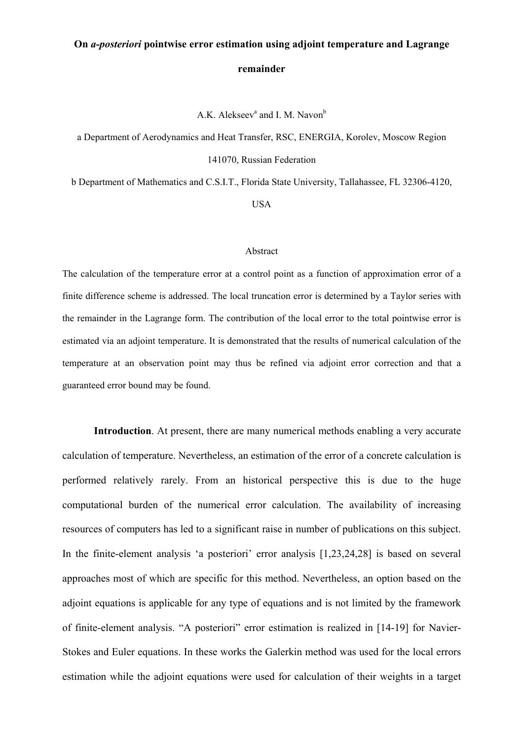# **On** *a-posteriori* **pointwise error estimation using adjoint temperature and Lagrange remainder**

A.K. Alekseev<sup>a</sup> and I. M. Navon<sup>b</sup>

a Department of Aerodynamics and Heat Transfer, RSC, ENERGIA, Korolev, Moscow Region 141070, Russian Federation

b Department of Mathematics and C.S.I.T., Florida State University, Tallahassee, FL 32306-4120,

USA

#### Abstract

The calculation of the temperature error at a control point as a function of approximation error of a finite difference scheme is addressed. The local truncation error is determined by a Taylor series with the remainder in the Lagrange form. The contribution of the local error to the total pointwise error is estimated via an adjoint temperature. It is demonstrated that the results of numerical calculation of the temperature at an observation point may thus be refined via adjoint error correction and that a guaranteed error bound may be found.

**Introduction**. At present, there are many numerical methods enabling a very accurate calculation of temperature. Nevertheless, an estimation of the error of a concrete calculation is performed relatively rarely. From an historical perspective this is due to the huge computational burden of the numerical error calculation. The availability of increasing resources of computers has led to a significant raise in number of publications on this subject. In the finite-element analysis 'a posteriori' error analysis [1,23,24,28] is based on several approaches most of which are specific for this method. Nevertheless, an option based on the adjoint equations is applicable for any type of equations and is not limited by the framework of finite-element analysis. "A posteriori" error estimation is realized in [14-19] for Navier-Stokes and Euler equations. In these works the Galerkin method was used for the local errors estimation while the adjoint equations were used for calculation of their weights in a target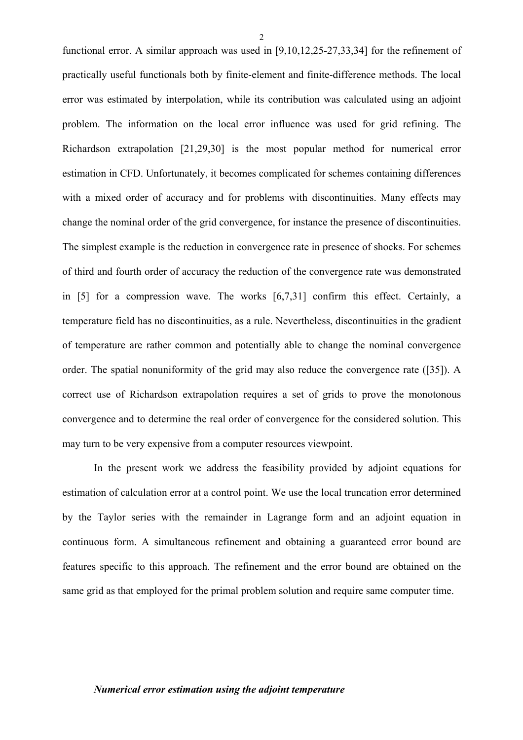functional error. A similar approach was used in [9,10,12,25-27,33,34] for the refinement of practically useful functionals both by finite-element and finite-difference methods. The local error was estimated by interpolation, while its contribution was calculated using an adjoint problem. The information on the local error influence was used for grid refining. The Richardson extrapolation [21,29,30] is the most popular method for numerical error estimation in CFD. Unfortunately, it becomes complicated for schemes containing differences with a mixed order of accuracy and for problems with discontinuities. Many effects may change the nominal order of the grid convergence, for instance the presence of discontinuities. The simplest example is the reduction in convergence rate in presence of shocks. For schemes of third and fourth order of accuracy the reduction of the convergence rate was demonstrated in [5] for a compression wave. The works [6,7,31] confirm this effect. Certainly, a temperature field has no discontinuities, as a rule. Nevertheless, discontinuities in the gradient of temperature are rather common and potentially able to change the nominal convergence order. The spatial nonuniformity of the grid may also reduce the convergence rate ([35]). A correct use of Richardson extrapolation requires a set of grids to prove the monotonous convergence and to determine the real order of convergence for the considered solution. This may turn to be very expensive from a computer resources viewpoint.

In the present work we address the feasibility provided by adjoint equations for estimation of calculation error at a control point. We use the local truncation error determined by the Taylor series with the remainder in Lagrange form and an adjoint equation in continuous form. A simultaneous refinement and obtaining a guaranteed error bound are features specific to this approach. The refinement and the error bound are obtained on the same grid as that employed for the primal problem solution and require same computer time.

#### *Numerical error estimation using the adjoint temperature*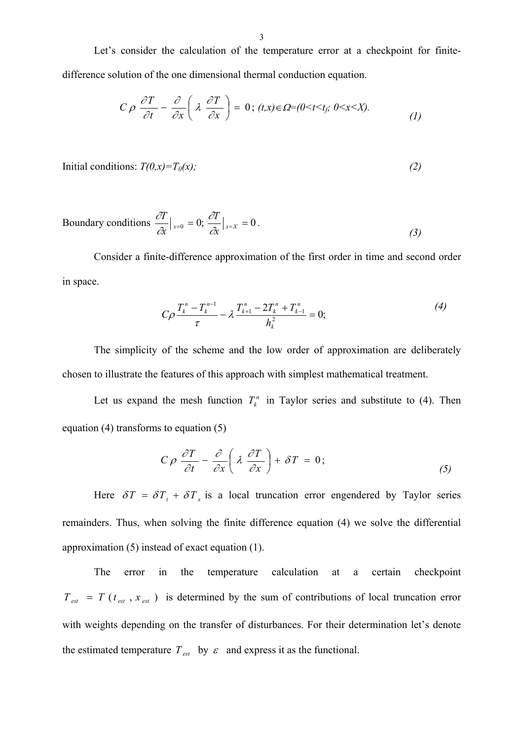Let's consider the calculation of the temperature error at a checkpoint for finitedifference solution of the one dimensional thermal conduction equation.

$$
C \rho \frac{\partial T}{\partial t} - \frac{\partial}{\partial x} \left( \lambda \frac{\partial T}{\partial x} \right) = 0; (t, x) \in \Omega = (0 < t < t_f; 0 < x < X).
$$
 (1)

Initial conditions:  $T(0,x) = T_0(x)$ ; (2)

Boundary conditions 
$$
\frac{\partial T}{\partial x}\big|_{x=0} = 0
$$
;  $\frac{\partial T}{\partial x}\big|_{x=X} = 0$ . (3)

Consider a finite-difference approximation of the first order in time and second order in space.

$$
C\rho \frac{T_k^n - T_k^{n-1}}{\tau} - \lambda \frac{T_{k+1}^n - 2T_k^n + T_{k-1}^n}{h_k^2} = 0;
$$
\n(4)

The simplicity of the scheme and the low order of approximation are deliberately chosen to illustrate the features of this approach with simplest mathematical treatment.

Let us expand the mesh function  $T_k^n$  in Taylor series and substitute to (4). Then equation (4) transforms to equation (5) *k*

$$
C \rho \frac{\partial T}{\partial t} - \frac{\partial}{\partial x} \left( \lambda \frac{\partial T}{\partial x} \right) + \delta T = 0; \qquad (5)
$$

Here  $\delta T = \delta T_t + \delta T_x$  is a local truncation error engendered by Taylor series remainders. Thus, when solving the finite difference equation (4) we solve the differential approximation (5) instead of exact equation (1).

The error in the temperature calculation at a certain checkpoint  $T_{\text{est}} = T(t_{\text{est}}, x_{\text{est}})$  is determined by the sum of contributions of local truncation error with weights depending on the transfer of disturbances. For their determination let's denote the estimated temperature  $T_{est}$  by  $\varepsilon$  and express it as the functional.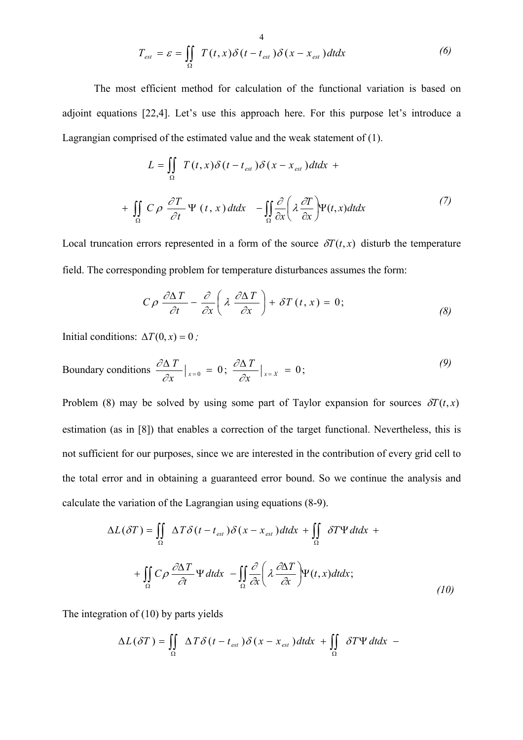$$
T_{est} = \varepsilon = \iint\limits_{\Omega} T(t, x) \delta(t - t_{est}) \delta(x - x_{est}) dt dx
$$
 (6)

The most efficient method for calculation of the functional variation is based on adjoint equations [22,4]. Let's use this approach here. For this purpose let's introduce a Lagrangian comprised of the estimated value and the weak statement of (1).

$$
L = \iint_{\Omega} T(t, x) \delta(t - t_{est}) \delta(x - x_{est}) dt dx +
$$
  
+ 
$$
\iint_{\Omega} C \rho \frac{\partial T}{\partial t} \Psi(t, x) dt dx - \iint_{\Omega} \frac{\partial}{\partial x} \left( \lambda \frac{\partial T}{\partial x} \right) \Psi(t, x) dt dx
$$
 (7)

Local truncation errors represented in a form of the source  $\delta T(t, x)$  disturb the temperature field. The corresponding problem for temperature disturbances assumes the form:

$$
C\rho \frac{\partial \Delta T}{\partial t} - \frac{\partial}{\partial x} \left( \lambda \frac{\partial \Delta T}{\partial x} \right) + \delta T(t, x) = 0; \tag{8}
$$

Initial conditions:  $\Delta T(0, x) = 0$ ;

Boundary conditions 
$$
\frac{\partial \Delta T}{\partial x}\big|_{x=0} = 0
$$
;  $\frac{\partial \Delta T}{\partial x}\big|_{x=X} = 0$ ; (9)

Problem (8) may be solved by using some part of Taylor expansion for sources  $\delta T(t, x)$ estimation (as in [8]) that enables a correction of the target functional. Nevertheless, this is not sufficient for our purposes, since we are interested in the contribution of every grid cell to the total error and in obtaining a guaranteed error bound. So we continue the analysis and calculate the variation of the Lagrangian using equations (8-9).

$$
\Delta L(\delta T) = \iint_{\Omega} \Delta T \delta(t - t_{est}) \delta(x - x_{est}) dt dx + \iint_{\Omega} \delta T \Psi dt dx +
$$

$$
+ \iint_{\Omega} C \rho \frac{\partial \Delta T}{\partial t} \Psi dt dx - \iint_{\Omega} \frac{\partial}{\partial x} \left( \lambda \frac{\partial \Delta T}{\partial x} \right) \Psi(t, x) dt dx; \tag{10}
$$

The integration of (10) by parts yields

$$
\Delta L(\delta T) = \iint\limits_{\Omega} \Delta T \delta(t - t_{est}) \delta(x - x_{est}) dt dx + \iint\limits_{\Omega} \delta T \Psi dt dx -
$$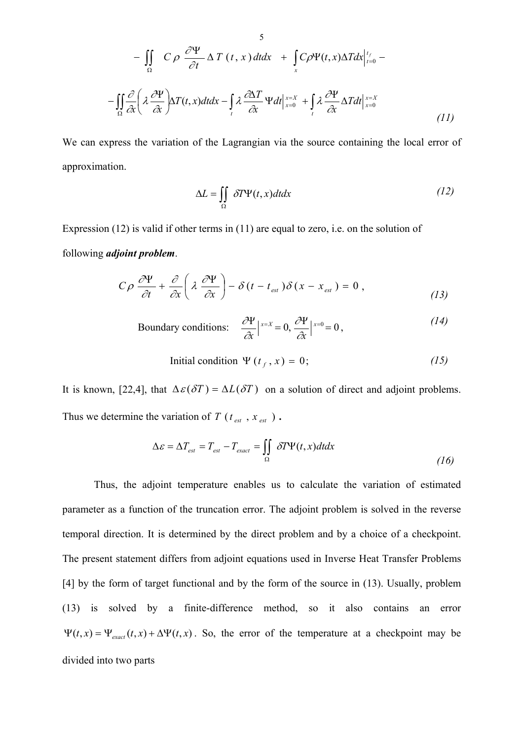$$
- \iint_{\Omega} C \rho \frac{\partial \Psi}{\partial t} \Delta T(t, x) dt dx + \int_{x} C \rho \Psi(t, x) \Delta T dx \Big|_{t=0}^{t_f} -
$$
  

$$
- \iint_{\Omega} \frac{\partial}{\partial x} \left( \lambda \frac{\partial \Psi}{\partial x} \right) \Delta T(t, x) dt dx - \int_{t} \lambda \frac{\partial \Delta T}{\partial x} \Psi dt \Big|_{x=0}^{x=X} + \int_{t} \lambda \frac{\partial \Psi}{\partial x} \Delta T dt \Big|_{x=0}^{x=X}
$$
(11)

We can express the variation of the Lagrangian via the source containing the local error of approximation.

$$
\Delta L = \iint_{\Omega} \delta T \Psi(t, x) dt dx \tag{12}
$$

Expression (12) is valid if other terms in (11) are equal to zero, i.e. on the solution of following *adjoint problem*.

$$
C\rho \frac{\partial \Psi}{\partial t} + \frac{\partial}{\partial x} \left( \lambda \frac{\partial \Psi}{\partial x} \right) - \delta (t - t_{est}) \delta (x - x_{est}) = 0 , \qquad (13)
$$

Boundary conditions: 
$$
\frac{\partial \Psi}{\partial x}\Big|_{x=X} = 0, \frac{\partial \Psi}{\partial x}\Big|_{x=0} = 0,
$$
 (14)

Initial condition 
$$
\Psi(t_f, x) = 0;
$$
 (15)

It is known, [22,4], that  $\Delta \varepsilon(\delta T) = \Delta L(\delta T)$  on a solution of direct and adjoint problems. Thus we determine the variation of  $T(t_{est}$ ,  $x_{est}$ ).

$$
\Delta \varepsilon = \Delta T_{est} = T_{est} - T_{exact} = \iint_{\Omega} \delta T \Psi(t, x) dt dx
$$
\n(16)

Thus, the adjoint temperature enables us to calculate the variation of estimated parameter as a function of the truncation error. The adjoint problem is solved in the reverse temporal direction. It is determined by the direct problem and by a choice of a checkpoint. The present statement differs from adjoint equations used in Inverse Heat Transfer Problems [4] by the form of target functional and by the form of the source in (13). Usually, problem (13) is solved by a finite-difference method, so it also contains an error  $\Psi(t, x) = \Psi_{exact}(t, x) + \Delta \Psi(t, x)$ . So, the error of the temperature at a checkpoint may be divided into two parts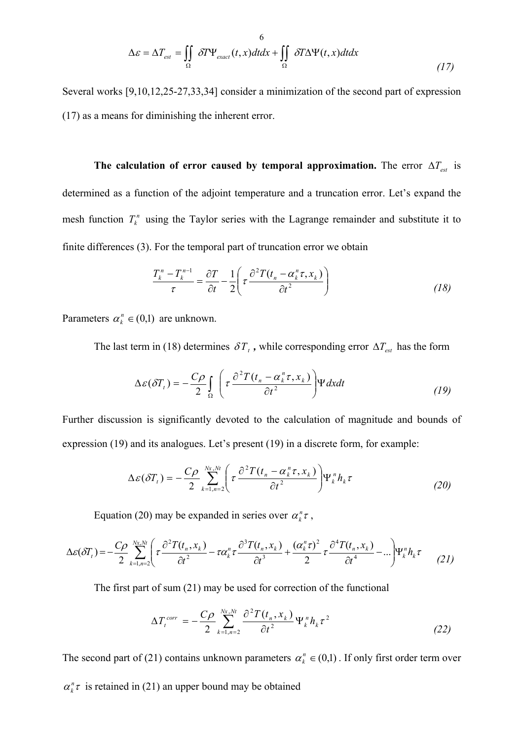$$
\Delta \varepsilon = \Delta T_{est} = \iint_{\Omega} \delta T \Psi_{exact}(t, x) dt dx + \iint_{\Omega} \delta T \Delta \Psi(t, x) dt dx
$$
\n(17)

Several works [9,10,12,25-27,33,34] consider a minimization of the second part of expression (17) as a means for diminishing the inherent error.

**The calculation of error caused by temporal approximation.** The error  $\Delta T_{est}$  is determined as a function of the adjoint temperature and a truncation error. Let's expand the mesh function  $T_k^n$  using the Taylor series with the Lagrange remainder and substitute it to finite differences (3). For the temporal part of truncation error we obtain *k*

$$
\frac{T_k^n - T_k^{n-1}}{\tau} = \frac{\partial T}{\partial t} - \frac{1}{2} \left( \tau \frac{\partial^2 T(t_n - \alpha_k^n \tau, x_k)}{\partial t^2} \right)
$$
(18)

Parameters  $\alpha_k^n \in (0,1)$  are unknown.

The last term in (18) determines  $\delta T_t$ , while corresponding error  $\Delta T_{est}$  has the form

$$
\Delta \varepsilon (\delta T_t) = -\frac{C\rho}{2} \int_{\Omega} \left( \tau \frac{\partial^2 T(t_n - \alpha_k^n \tau, x_k)}{\partial t^2} \right) \Psi dx dt \tag{19}
$$

Further discussion is significantly devoted to the calculation of magnitude and bounds of expression (19) and its analogues. Let's present (19) in a discrete form, for example:

$$
\Delta \varepsilon (\delta T_t) = -\frac{C\rho}{2} \sum_{k=1,n=2}^{Nx, Nt} \left( \tau \frac{\partial^2 T(t_n - \alpha_k^n \tau, x_k)}{\partial t^2} \right) \Psi_k^n h_k \tau
$$
 (20)

Equation (20) may be expanded in series over  $\alpha_k^n \tau$ ,

$$
\Delta \varepsilon(\delta T_t) = -\frac{C\rho}{2} \sum_{k=1,n=2}^{Nx,Nt} \left( \tau \frac{\partial^2 T(t_n, x_k)}{\partial t^2} - \tau \alpha_k^n \tau \frac{\partial^3 T(t_n, x_k)}{\partial t^3} + \frac{(\alpha_k^n \tau)^2}{2} \tau \frac{\partial^4 T(t_n, x_k)}{\partial t^4} - \ldots \right) \Psi_k^n h_k \tau \qquad (21)
$$

The first part of sum (21) may be used for correction of the functional

$$
\Delta T_t^{corr} = -\frac{C\rho}{2} \sum_{k=1,n=2}^{Nx,Nt} \frac{\partial^2 T(t_n, x_k)}{\partial t^2} \Psi_k^n h_k \tau^2
$$
\n(22)

The second part of (21) contains unknown parameters  $\alpha_k^n \in (0,1)$ . If only first order term over

 $\alpha_i^n \tau$  is retained in (21) an upper bound may be obtained *k*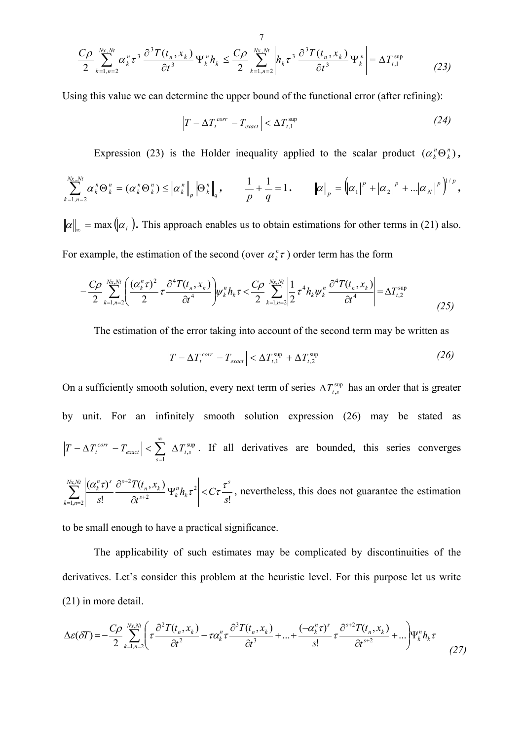$$
\frac{C\rho}{2} \sum_{k=1,n=2}^{Nx,Nt} \alpha_k^n \tau^3 \frac{\partial^3 T(t_n, x_k)}{\partial t^3} \Psi_k^n h_k \leq \frac{C\rho}{2} \sum_{k=1,n=2}^{Nx,Nt} \left| h_k \tau^3 \frac{\partial^3 T(t_n, x_k)}{\partial t^3} \Psi_k^n \right| = \Delta T_{t,1}^{\text{sup}} \tag{23}
$$

Using this value we can determine the upper bound of the functional error (after refining):

$$
|T - \Delta T_t^{corr} - T_{exact}| < \Delta T_{t,1}^{\text{sup}} \tag{24}
$$

Expression (23) is the Holder inequality applied to the scalar product  $(\alpha_k^n \Theta_k^n)$ ,

$$
\sum_{k=1,n=2}^{Nx,Nt} \alpha_k^n \Theta_k^n = (\alpha_k^n \Theta_k^n) \leq \left\| \alpha_k^n \right\|_p \left\| \Theta_k^n \right\|_q, \qquad \frac{1}{p} + \frac{1}{q} = 1. \qquad \left\| \alpha \right\|_p = (\alpha_1)^p + |\alpha_2|^p + \ldots + |\alpha_N|^p \Big)^{1/p},
$$

 $\|\alpha\|_{\infty} = \max(\alpha_i)$ . This approach enables us to obtain estimations for other terms in (21) also. For example, the estimation of the second (over  $\alpha_k^n \tau$ ) order term has the form

$$
-\frac{C\rho}{2}\sum_{k=1,n=2}^{Nx,Nt}\left(\frac{(\alpha_k^n\tau)^2}{2}\tau\frac{\partial^4 T(t_n,x_k)}{\partial t^4}\right)\psi_k^n h_k \tau < \frac{C\rho}{2}\sum_{k=1,n=2}^{Nx,Nt}\left|\frac{1}{2}\tau^4 h_k \psi_k^n \frac{\partial^4 T(t_n,x_k)}{\partial t^4}\right| = \Delta T_{t,2}^{\text{sup}} \tag{25}
$$

The estimation of the error taking into account of the second term may be written as

$$
\left|T - \Delta T_t^{corr} - T_{exact}\right| < \Delta T_{t,1}^{\text{sup}} + \Delta T_{t,2}^{\text{sup}} \tag{26}
$$

On a sufficiently smooth solution, every next term of series  $\Delta T_{t,s}^{\text{sup}}$  has an order that is greater by unit. For an infinitely smooth solution expression (26) may be stated as sup , 1 *t s s*  $T - \Delta T_t^{corr} - T_{exact}$  |  $\langle \sum_{i=1}^{\infty} \Delta T_i$ = . If all derivatives are bounded, this series converges !  $(t_{n}, x_{k})$ !  $(\alpha_k^n \tau)^s \partial^{s+2} T(t_n, x_k)$ <sub>W<sup>n</sup>b<sub>2</sub></sub> 2  $Nt \mid (\alpha^n \tau)^s \; \hat{\sigma}^{s+2}$  $\frac{1}{2}$  *s*!  $\partial t^{s+2}$   $\left| \begin{array}{c} s & \lambda \\ s & \lambda \end{array} \right|$  *s*  $|h_k \tau^2|$  < C *t*  $T(t_n, x)$ *s s k n*  $s+2$  **k**  $n \cdot \lambda_k$  $n \rightarrow s$   $s$  $\sum_{k}^{Nx,Nt} |(\boldsymbol{\alpha}^n_k)$ *k n*  $\frac{(\alpha_k^r \tau)^r}{\tau} \frac{\partial^{r-1}(l_n, x_k)}{\partial x_k^r} \Psi_k^n h_k \tau^2 \Big| < C \tau \Big|$ ∂ ∂ + +  $\sum_{t=1,n=2}^{\infty} \left| \frac{(a_k t)}{s!} \frac{\partial^2}{\partial t^{s+2}} \frac{\partial^2}{\partial t^s} \right| \mathcal{H}_k^2 h_k \tau^2 \Big| < C \tau \frac{\tau}{s!}$ , nevertheless, this does not guarantee the estimation

to be small enough to have a practical significance.

The applicability of such estimates may be complicated by discontinuities of the derivatives. Let's consider this problem at the heuristic level. For this purpose let us write (21) in more detail.

$$
\Delta \varepsilon(\delta T) = -\frac{C\rho}{2} \sum_{k=1,n=2}^{Nx, Ni} \left( \tau \frac{\partial^2 T(t_n, x_k)}{\partial t^2} - \tau \alpha_k^n \tau \frac{\partial^3 T(t_n, x_k)}{\partial t^3} + \dots + \frac{(-\alpha_k^n \tau)^s}{s!} \tau \frac{\partial^{s+2} T(t_n, x_k)}{\partial t^{s+2}} + \dots \right) \Psi_k^n h_k \tau \tag{27}
$$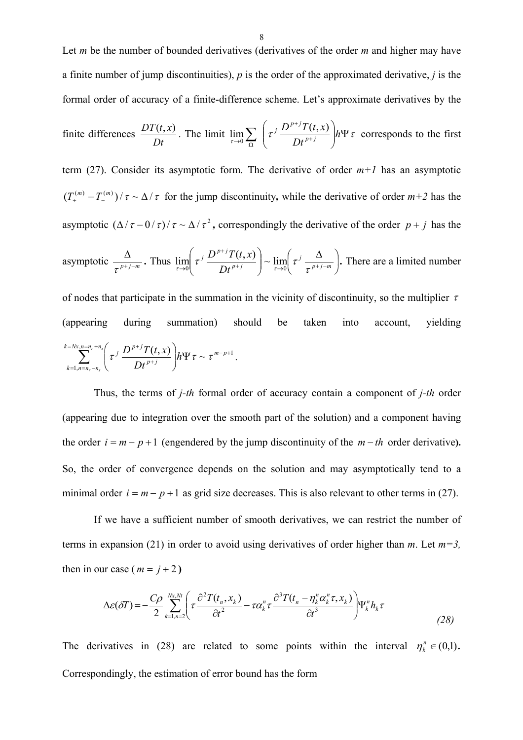Let *m* be the number of bounded derivatives (derivatives of the order *m* and higher may have a finite number of jump discontinuities), *p* is the order of the approximated derivative, *j* is the formal order of accuracy of a finite-difference scheme. Let's approximate derivatives by the

finite differences 
$$
\frac{DT(t,x)}{Dt}
$$
. The limit  $\lim_{\tau \to 0} \sum_{\Omega} \left( \tau^j \frac{D^{p+j}T(t,x)}{Dt^{p+j}} \right) h \Psi \tau$  corresponds to the first

term (27). Consider its asymptotic form. The derivative of order  $m+1$  has an asymptotic  $(T_{+}^{(m)} - T_{-}^{(m)})/\tau \sim \Delta/\tau$  for the jump discontinuity, while the derivative of order  $m+2$  has the asymptotic  $(\Delta/\tau - 0/\tau)/\tau \sim \Delta/\tau^2$ , correspondingly the derivative of the order  $p + j$  has the asymptotic  $\frac{a}{\pi p + j - m}$ ∆  $\frac{d}{\tau^{p+j-m}}$ . Thus  $\lim_{\tau \to 0} \left( \tau^{j} \frac{D}{Dt^{p+j}} \right) \sim \lim_{\tau \to 0} \left( \tau^{j} \frac{D}{\tau^{p+j-m}} \right)$  $\left(\tau^{j} \frac{\Delta}{\tau^{j-j-m}}\right)$  $\setminus$  $\int_{-1}^{\infty} \Delta$  $\overline{\phantom{a}}$ J  $\setminus$  $+j$   $\frac{1}{\tau \rightarrow 0}$   $\frac{1}{\tau} p + j$ + *p j m j p j p j Dt*  $T(t, x)$ τ τ  $\left(\tau^{j}\frac{D^{p+j}T(t,x)}{Dt^{p+j}}\right) \sim \lim_{\tau\to 0}$  $\setminus$ ſ →  $\lim_{\tau \to 0} \left( \tau^{j} \frac{D^{p+j}T(t,x)}{Dt^{p+j}} \right) \sim \lim_{\tau \to 0} \left( \tau^{j} \frac{\Delta}{\tau^{p+j-m}} \right)$ . There are a limited number

of nodes that participate in the summation in the vicinity of discontinuity, so the multiplier  $\tau$ (appearing during summation) should be taken into account, yielding  $\sum_{n=n_r+n_s}^{n=n_r+n_s} \left( \int_{-1}^{1} D^{p+j} T(t,x) \right)_{k \leq t \leq n} = \sum_{n=p+1}^{n-p+1}$ 1,  $\sum_{n=N}^{N_x,n=n_r+n_s} \left( \int_{-1}^{1} D^{p+j} T(t,x) \right)_{i=1}^{N_x}$  $\sum_{n=1,n=n_r-n_s}$  $\setminus$  $\sum_{n=N}^{N} \sum_{n=n}^{N} \left( \tau^{j} \frac{D^{p+j}T(t,x)}{Dt^{p+j}} \right) h \Psi \tau \sim \tau^{m-p}$  $k = 1, n = n_r - n$ *r s*  $r - n_s$  $\frac{f^{+j}T(t,x)}{D f^{+j}}$   $h \Psi \tau \sim$  Ψ  $\bigg)$  $\setminus$ *p j*  $\frac{D^{p+j}T(t,x)}{T(t,x)}$ *Dt*  $\tau^{j} \frac{D^{p+j}T(t,x)}{E^{p+j}} h \Psi \tau \sim \tau^{m-p+1}.$ 

Thus, the terms of *j-th* formal order of accuracy contain a component of *j-th* order (appearing due to integration over the smooth part of the solution) and a component having the order  $i = m - p + 1$  (engendered by the jump discontinuity of the  $m - th$  order derivative). So, the order of convergence depends on the solution and may asymptotically tend to a minimal order  $i = m - p + 1$  as grid size decreases. This is also relevant to other terms in (27).

If we have a sufficient number of smooth derivatives, we can restrict the number of terms in expansion (21) in order to avoid using derivatives of order higher than  $m$ . Let  $m=3$ . then in our case ( $m = j + 2$ )

$$
\Delta \varepsilon(\delta T) = -\frac{C\rho}{2} \sum_{k=1,n=2}^{Nx,Nt} \left( \tau \frac{\partial^2 T(t_n, x_k)}{\partial t^2} - \tau \alpha_k^n \tau \frac{\partial^3 T(t_n - \eta_k^n \alpha_k^n \tau, x_k)}{\partial t^3} \right) \Psi_k^n h_k \tau
$$
\n(28)

The derivatives in (28) are related to some points within the interval  $\eta_k^n \in (0,1)$ . Correspondingly, the estimation of error bound has the form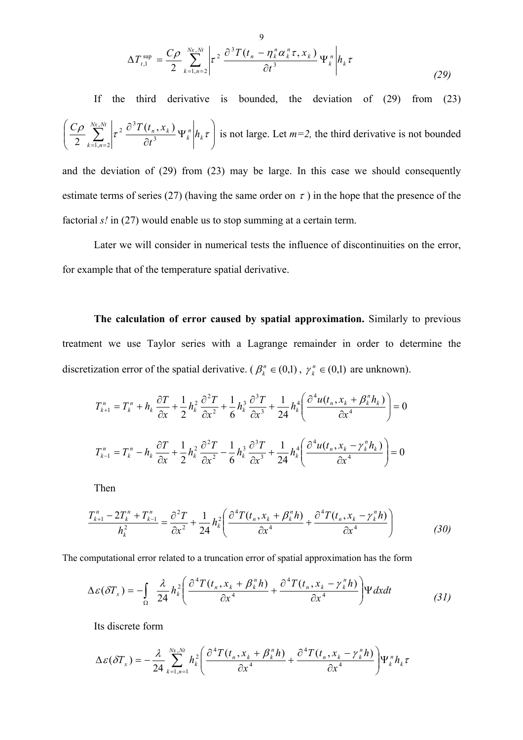$$
\Delta T_{t,1}^{\text{sup}} = \frac{C\rho}{2} \sum_{k=1,n=2}^{Nx,Nt} \left| \tau^2 \frac{\partial^3 T(t_n - \eta_k^n \alpha_k^n \tau, x_k)}{\partial t^3} \Psi_k^n \right| h_k \tau
$$
\n(29)

If the third derivative is bounded, the deviation of (29) from (23)  $\overline{\phantom{a}}$ J  $\setminus$  $\overline{\phantom{a}}$  $\setminus$ ſ Ψ  $\frac{\partial \rho}{\partial z} \sum_{k=1,n=2}^{Nx,Nt} \left|\tau^2 \, \frac{\partial^3 T(t_n,x_k)}{\partial t^3} \Psi_k^n \right| h_k \tau_k$ *n*  $\sum_{k=1}^{N_x, N_t} \left| \tau^2 \frac{\partial^3 T(t_n, x_k)}{\partial x^3} \Psi_k \right|$  $k = 1, n$ *h t*  $C\rho \sum_{n=1}^{Nx, Nt} \left| \right|_2 \frac{\partial^3 T(t_n, x)}{\partial x^n}$ 3  $\left\lceil \frac{Nt}{2} \right\rceil$   $\approx$   $\partial^3$  $1, n = 2$  $\left( \frac{\partial \rho}{\partial \rho} \sum_{k=1, n=2}^{Nx, Nt} \left| \tau^2 \frac{\partial^3 T(t_n, x_k)}{\partial t^3} \Psi_{k}^{n} \right| h_k \tau \right)$  is not large. Let  $m=2$ , the third derivative is not bounded

and the deviation of (29) from (23) may be large. In this case we should consequently estimate terms of series (27) (having the same order on  $\tau$ ) in the hope that the presence of the factorial *s!* in (27) would enable us to stop summing at a certain term.

Later we will consider in numerical tests the influence of discontinuities on the error, for example that of the temperature spatial derivative.

**The calculation of error caused by spatial approximation.** Similarly to previous treatment we use Taylor series with a Lagrange remainder in order to determine the discretization error of the spatial derivative. ( $\beta_k^n \in (0,1)$ ,  $\gamma_k^n \in (0,1)$  are unknown).

$$
T_{k+1}^{n} = T_{k}^{n} + h_{k} \frac{\partial T}{\partial x} + \frac{1}{2} h_{k}^{2} \frac{\partial^{2} T}{\partial x^{2}} + \frac{1}{6} h_{k}^{3} \frac{\partial^{3} T}{\partial x^{3}} + \frac{1}{24} h_{k}^{4} \left( \frac{\partial^{4} u(t_{n}, x_{k} + \beta_{k}^{n} h_{k})}{\partial x^{4}} \right) = 0
$$
  

$$
T_{k-1}^{n} = T_{k}^{n} - h_{k} \frac{\partial T}{\partial x} + \frac{1}{2} h_{k}^{2} \frac{\partial^{2} T}{\partial x^{2}} - \frac{1}{6} h_{k}^{3} \frac{\partial^{3} T}{\partial x^{3}} + \frac{1}{24} h_{k}^{4} \left( \frac{\partial^{4} u(t_{n}, x_{k} - \gamma_{k}^{n} h_{k})}{\partial x^{4}} \right) = 0
$$

Then

$$
\frac{T_{k+1}^n - 2T_k^n + T_{k-1}^n}{h_k^2} = \frac{\partial^2 T}{\partial x^2} + \frac{1}{24} h_k^2 \left( \frac{\partial^4 T(t_n, x_k + \beta_k^n h)}{\partial x^4} + \frac{\partial^4 T(t_n, x_k - \gamma_k^n h)}{\partial x^4} \right)
$$
(30)

The computational error related to a truncation error of spatial approximation has the form

$$
\Delta \varepsilon (\delta T_x) = -\int_{\Omega} \frac{\lambda}{24} h_k^2 \left( \frac{\partial^4 T(t_n, x_k + \beta_k^n h)}{\partial x^4} + \frac{\partial^4 T(t_n, x_k - \gamma_k^n h)}{\partial x^4} \right) \Psi dx dt \tag{31}
$$

Its discrete form

$$
\Delta \varepsilon(\delta T_x) = -\frac{\lambda}{24} \sum_{k=1,n=1}^{Nx, Nt} h_k^2 \left( \frac{\partial^4 T(t_n, x_k + \beta_k^n h)}{\partial x^4} + \frac{\partial^4 T(t_n, x_k - \gamma_k^n h)}{\partial x^4} \right) \Psi_k^n h_k \tau
$$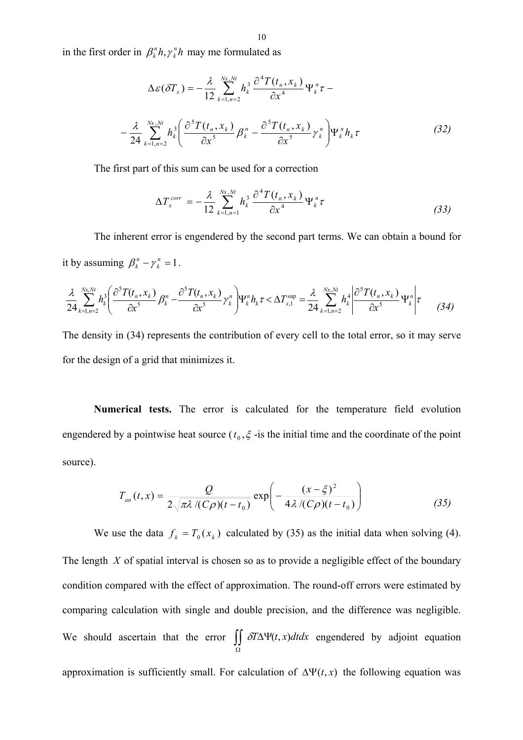in the first order in  $\beta_k^n h, \gamma_k^n h$  may me formulated as  $\beta_k^n h, \gamma$ 

$$
\Delta \varepsilon (\delta T_x) = -\frac{\lambda}{12} \sum_{k=1,n=2}^{Nx, Nt} h_k^3 \frac{\partial^4 T(t_n, x_k)}{\partial x^4} \Psi_k^n \tau -
$$

$$
-\frac{\lambda}{24} \sum_{k=1,n=2}^{Nx, Nt} h_k^3 \left( \frac{\partial^5 T(t_n, x_k)}{\partial x^5} \beta_k^n - \frac{\partial^5 T(t_n, x_k)}{\partial x^5} \gamma_k^n \right) \Psi_k^n h_k \tau \tag{32}
$$

The first part of this sum can be used for a correction

$$
\Delta T_x^{corr} = -\frac{\lambda}{12} \sum_{k=1,n=1}^{Nx, Nt} h_k^3 \frac{\partial^4 T(t_n, x_k)}{\partial x^4} \Psi_k^n \tau
$$
\n(33)

The inherent error is engendered by the second part terms. We can obtain a bound for it by assuming  $\beta_k^n - \gamma_k^n = 1$ .  $\beta_k^n - \gamma$ 

$$
\frac{\lambda}{24} \sum_{k=1,n=2}^{Nx,Nt} h_k^3 \left( \frac{\partial^5 T(t_n, x_k)}{\partial x^5} \beta_k^n - \frac{\partial^5 T(t_n, x_k)}{\partial x^5} \gamma_k^n \right) \Psi_k^n h_k \tau \langle \Delta T_{x,1}^{\text{sup}} \rangle = \frac{\lambda}{24} \sum_{k=1,n=2}^{Nx,Nt} h_k^4 \left| \frac{\partial^5 T(t_n, x_k)}{\partial x^5} \Psi_k^n \right| \tau \tag{34}
$$

The density in (34) represents the contribution of every cell to the total error, so it may serve for the design of a grid that minimizes it.

**Numerical tests.** The error is calculated for the temperature field evolution engendered by a pointwise heat source ( $t_0, \xi$ -is the initial time and the coordinate of the point source).

$$
T_{an}(t,x) = \frac{Q}{2\sqrt{\pi\lambda/(C\rho)(t-t_0)}}\exp\left(-\frac{(x-\xi)^2}{4\lambda/(C\rho)(t-t_0)}\right)
$$
(35)

We use the data  $f_k = T_0(x_k)$  calculated by (35) as the initial data when solving (4). The length *X* of spatial interval is chosen so as to provide a negligible effect of the boundary condition compared with the effect of approximation. The round-off errors were estimated by comparing calculation with single and double precision, and the difference was negligible. We should ascertain that the error  $\iint_{\Omega} \delta T \Delta \Psi(t, x) dt dx$  engendered by adjoint equation approximation is sufficiently small. For calculation of  $\Delta \Psi(t, x)$  the following equation was δ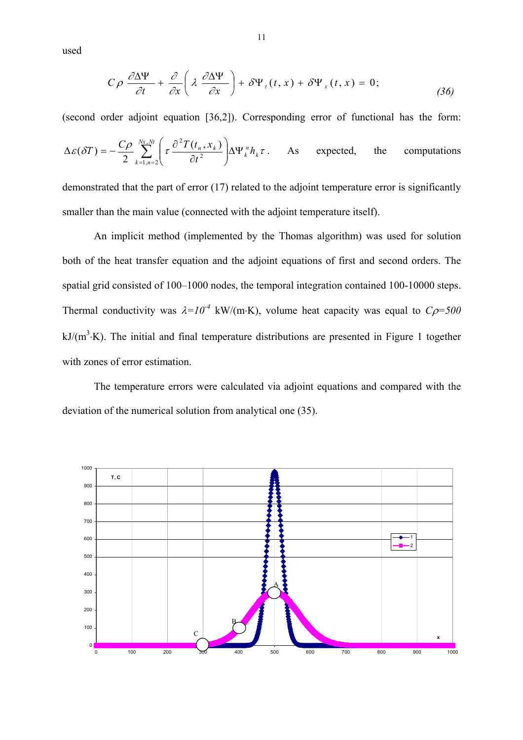used

$$
C\rho \frac{\partial \Delta \Psi}{\partial t} + \frac{\partial}{\partial x} \left( \lambda \frac{\partial \Delta \Psi}{\partial x} \right) + \delta \Psi_{t}(t, x) + \delta \Psi_{x}(t, x) = 0; \qquad (36)
$$

(second order adjoint equation [36,2]). Corresponding error of functional has the form:

$$
\Delta \varepsilon(\delta T) = -\frac{C\rho}{2} \sum_{k=1,n=2}^{Nx,Nt} \left( \tau \frac{\partial^2 T(t_n, x_k)}{\partial t^2} \right) \Delta \Psi_k^n h_k \tau. \quad \text{As expected, the computations}
$$

demonstrated that the part of error (17) related to the adjoint temperature error is significantly smaller than the main value (connected with the adjoint temperature itself).

An implicit method (implemented by the Thomas algorithm) was used for solution both of the heat transfer equation and the adjoint equations of first and second orders. The spatial grid consisted of 100–1000 nodes, the temporal integration contained 100-10000 steps. Thermal conductivity was  $\lambda = 10^{-4}$  kW/(m⋅K), volume heat capacity was equal to  $C\rho = 500$  $kJ/(m^3 \cdot K)$ . The initial and final temperature distributions are presented in Figure 1 together with zones of error estimation.

The temperature errors were calculated via adjoint equations and compared with the deviation of the numerical solution from analytical one (35).

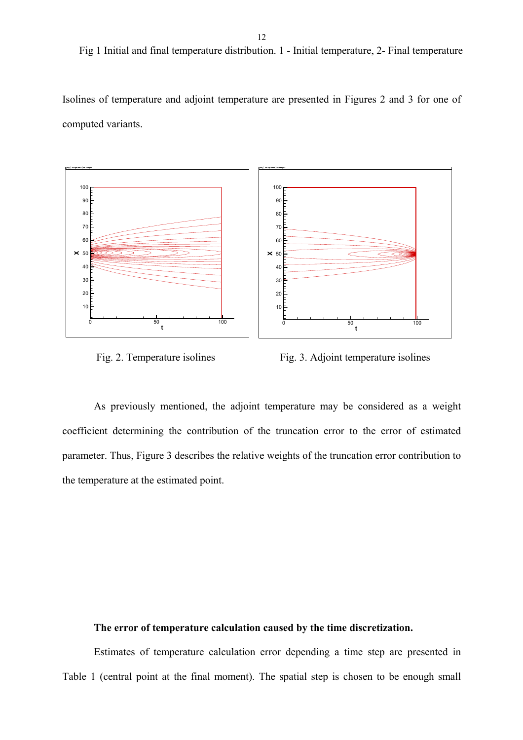Fig 1 Initial and final temperature distribution. 1 - Initial temperature, 2- Final temperature

Isolines of temperature and adjoint temperature are presented in Figures 2 and 3 for one of computed variants.





Fig. 2. Temperature isolines Fig. 3. Adjoint temperature isolines

As previously mentioned, the adjoint temperature may be considered as a weight coefficient determining the contribution of the truncation error to the error of estimated parameter. Thus, Figure 3 describes the relative weights of the truncation error contribution to the temperature at the estimated point.

### **The error of temperature calculation caused by the time discretization.**

Estimates of temperature calculation error depending a time step are presented in Table 1 (central point at the final moment). The spatial step is chosen to be enough small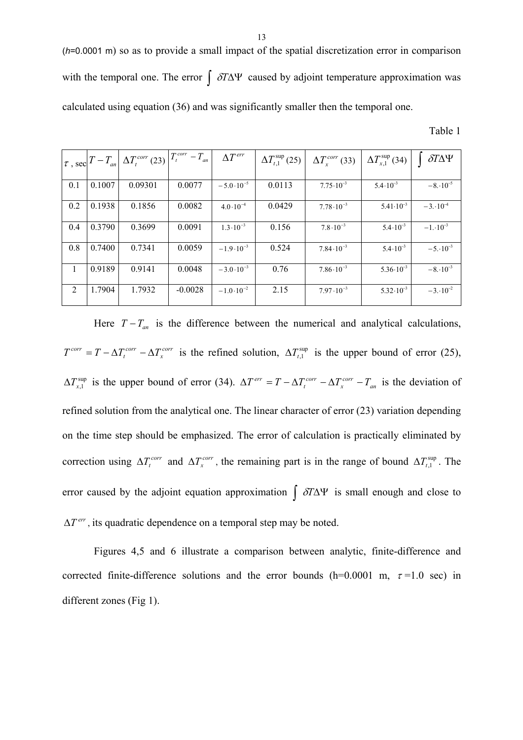(*h*=0.0001 m) so as to provide a small impact of the spatial discretization error in comparison with the temporal one. The error  $\int$  *δT*ΔΨ caused by adjoint temperature approximation was calculated using equation (36) and was significantly smaller then the temporal one.

Table 1

|     | $\vert \tau$ , sec $\vert T-T_{an} \vert$ | $\Delta T_t^{corr}$ (23) | $T_t^{corr} - T_{an}$ | $\Delta T^{err}$     | $\Delta T_{t,1}^{\text{sup}}(25)$ | $\Delta T_r^{corr}$ (33) | $\Delta T_{x,1}^{\rm sup}$ (34) | $\delta T \Delta \Psi$ |
|-----|-------------------------------------------|--------------------------|-----------------------|----------------------|-----------------------------------|--------------------------|---------------------------------|------------------------|
| 0.1 | 0.1007                                    | 0.09301                  | 0.0077                | $-5.0 \cdot 10^{-5}$ | 0.0113                            | $7.75 \cdot 10^{-3}$     | $5.4 \cdot 10^{-3}$             | $-8.10^{-5}$           |
|     |                                           |                          |                       |                      |                                   |                          |                                 |                        |
| 0.2 | 0.1938                                    | 0.1856                   | 0.0082                | $4.0 \cdot 10^{-4}$  | 0.0429                            | $7.78 \cdot 10^{-3}$     | $5.41 \cdot 10^{-3}$            | $-3.10^{-4}$           |
| 0.4 | 0.3790                                    | 0.3699                   | 0.0091                | $1.3 \cdot 10^{-3}$  | 0.156                             | $7.8 \cdot 10^{-3}$      | $5.4 \cdot 10^{-3}$             | $-1.10^{-3}$           |
| 0.8 | 0.7400                                    | 0.7341                   | 0.0059                | $-1.9 \cdot 10^{-3}$ | 0.524                             | $7.84 \cdot 10^{-3}$     | $5.4 \cdot 10^{-3}$             | $-5.10^{-3}$           |
| 1   | 0.9189                                    | 0.9141                   | 0.0048                | $-3.0 \cdot 10^{-3}$ | 0.76                              | $7.86 \cdot 10^{-3}$     | $5.36 \cdot 10^{-3}$            | $-8.10^{-3}$           |
| 2   | 1.7904                                    | 1.7932                   | $-0.0028$             | $-1.0 \cdot 10^{-2}$ | 2.15                              | $7.97 \cdot 10^{-3}$     | $5.32 \cdot 10^{-3}$            | $-3.10^{-2}$           |

Here  $T - T_{an}$  is the difference between the numerical and analytical calculations,  $T^{corr} = T - \Delta T_t^{corr} - \Delta T_x^{corr}$  is the refined solution,  $\Delta T_{t,1}^{sup}$  is the upper bound of error (25),  $\Delta T_{x,1}^{\text{sup}}$  is the upper bound of error (34).  $\Delta T^{err} = T - \Delta T_t^{corr} - \Delta T_x^{corr} - T_{an}$  is the deviation of refined solution from the analytical one. The linear character of error (23) variation depending on the time step should be emphasized. The error of calculation is practically eliminated by correction using  $\Delta T_t^{corr}$  and  $\Delta T_x^{corr}$ , the remaining part is in the range of bound  $\Delta T_{t,1}^{sup}$ . The error caused by the adjoint equation approximation  $\int \delta T \Delta \Psi$  is small enough and close to  $\Delta T^{err}$ , its quadratic dependence on a temporal step may be noted.

Figures 4,5 and 6 illustrate a comparison between analytic, finite-difference and corrected finite-difference solutions and the error bounds (h=0.0001 m,  $\tau$ =1.0 sec) in different zones (Fig 1).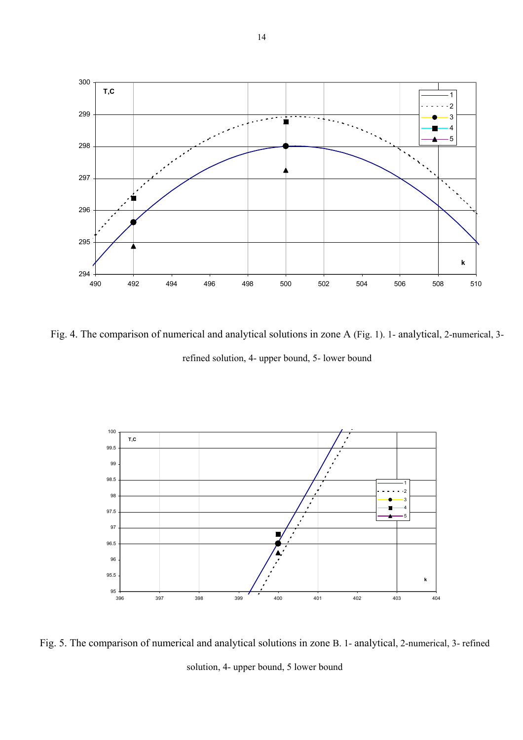

Fig. 4. The comparison of numerical and analytical solutions in zone A (Fig. 1). 1- analytical, 2-numerical, 3 refined solution, 4- upper bound, 5- lower bound



Fig. 5. The comparison of numerical and analytical solutions in zone B. 1- analytical, 2-numerical, 3- refined solution, 4- upper bound, 5 lower bound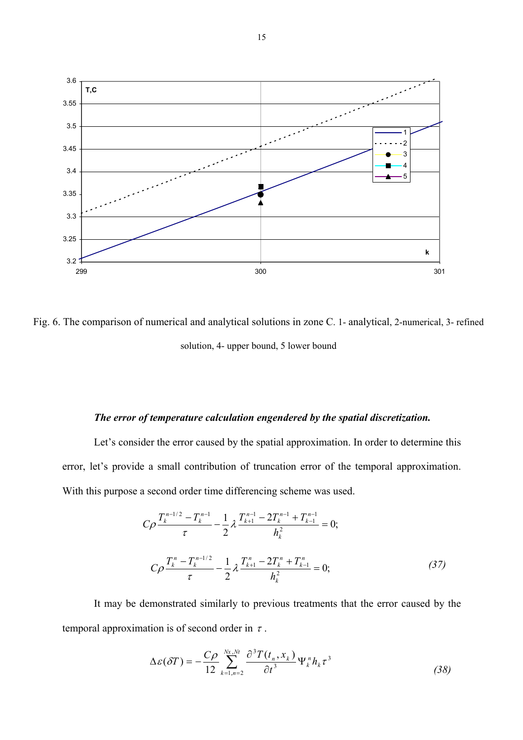

Fig. 6. The comparison of numerical and analytical solutions in zone C. 1- analytical, 2-numerical, 3- refined solution, 4- upper bound, 5 lower bound

#### *The error of temperature calculation engendered by the spatial discretization.*

Let's consider the error caused by the spatial approximation. In order to determine this error, let's provide a small contribution of truncation error of the temporal approximation. With this purpose a second order time differencing scheme was used.

$$
C\rho \frac{T_k^{n-1/2} - T_k^{n-1}}{\tau} - \frac{1}{2} \lambda \frac{T_{k+1}^{n-1} - 2T_k^{n-1} + T_{k-1}^{n-1}}{h_k^2} = 0;
$$
  

$$
C\rho \frac{T_k^n - T_k^{n-1/2}}{\tau} - \frac{1}{2} \lambda \frac{T_{k+1}^n - 2T_k^n + T_{k-1}^n}{h_k^2} = 0;
$$
 (37)

It may be demonstrated similarly to previous treatments that the error caused by the temporal approximation is of second order in  $\tau$ .

$$
\Delta \varepsilon(\delta T) = -\frac{C\rho}{12} \sum_{k=1,n=2}^{Nx,Nt} \frac{\partial^3 T(t_n, x_k)}{\partial t^3} \Psi_k^n h_k \tau^3
$$
\n(38)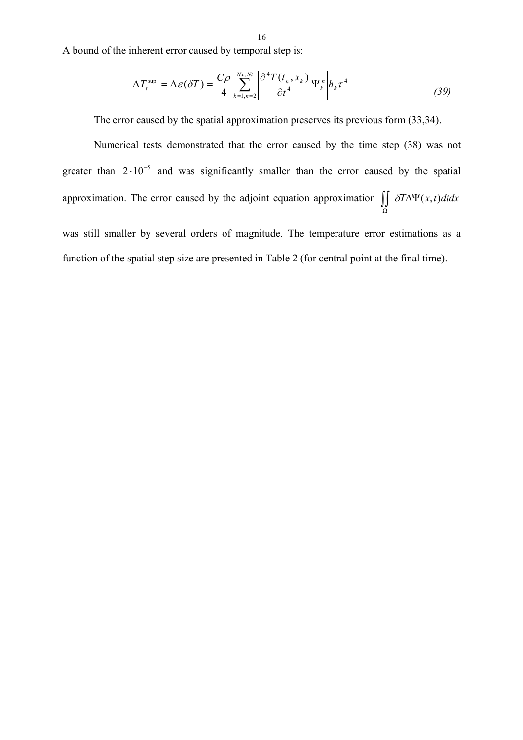A bound of the inherent error caused by temporal step is:

$$
\Delta T_t^{\text{sup}} = \Delta \varepsilon (\delta T) = \frac{C\rho}{4} \sum_{k=1,n=2}^{Nx, Nt} \left| \frac{\partial^4 T(t_n, x_k)}{\partial t^4} \Psi_k^n \right| h_k \tau^4 \tag{39}
$$

The error caused by the spatial approximation preserves its previous form (33,34).

Numerical tests demonstrated that the error caused by the time step (38) was not greater than  $2 \cdot 10^{-5}$  and was significantly smaller than the error caused by the spatial approximation. The error caused by the adjoint equation approximation  $\iint_{\Omega} \delta T \Delta \Psi(x, t) dt dx$ was still smaller by several orders of magnitude. The temperature error estimations as a δ

function of the spatial step size are presented in Table 2 (for central point at the final time).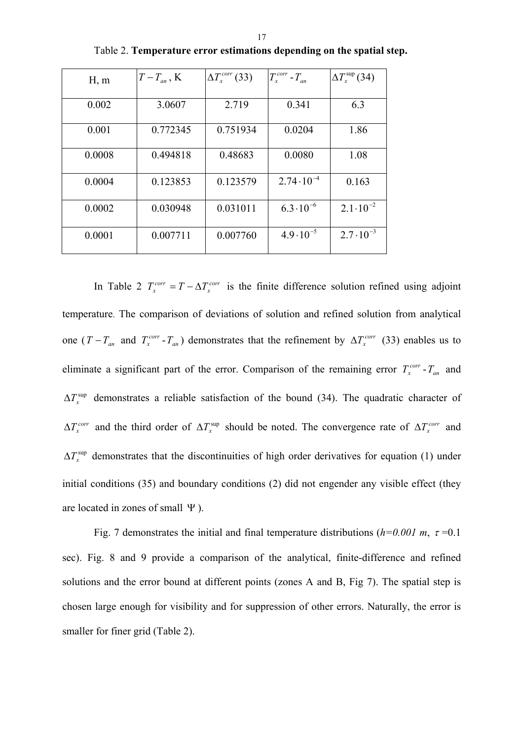| H, m   | $T-T_{an}$ , K | $\Delta T_x^{corr}$ (33) | $T_x^{corr}$ - $T_{an}$ | $\Delta T_{r}^{\text{sup}}(34)$ |
|--------|----------------|--------------------------|-------------------------|---------------------------------|
| 0.002  | 3.0607         | 2.719                    | 0.341                   | 6.3                             |
| 0.001  | 0.772345       | 0.751934                 | 0.0204                  | 1.86                            |
| 0.0008 | 0.494818       | 0.48683                  | 0.0080                  | 1.08                            |
| 0.0004 | 0.123853       | 0.123579                 | $2.74 \cdot 10^{-4}$    | 0.163                           |
| 0.0002 | 0.030948       | 0.031011                 | $6.3 \cdot 10^{-6}$     | $2.1 \cdot 10^{-2}$             |
| 0.0001 | 0.007711       | 0.007760                 | $4.9 \cdot 10^{-5}$     | $2.7 \cdot 10^{-3}$             |

Table 2. **Temperature error estimations depending on the spatial step.** 

In Table 2  $T_r^{corr} = T - \Delta T_r^{corr}$  is the finite difference solution refined using adjoint temperature. The comparison of deviations of solution and refined solution from analytical one  $(T - T_{av}$  and  $T_{r}^{corr} - T_{av}$ ) demonstrates that the refinement by  $\Delta T_{r}^{corr}$  (33) enables us to eliminate a significant part of the error. Comparison of the remaining error  $T_r^{corr}$  -  $T_{an}$  and ∆ $T_x^{\text{sup}}$  demonstrates a reliable satisfaction of the bound (34). The quadratic character of  $\sum_{x}^{corr}$  and the third order of  $\Delta T_x^{sup}$  should be noted. The convergence rate of  $\Delta T_x^{corr}$  and ∆ $T_x^{\text{sup}}$  demonstrates that the discontinuities of high order derivatives for equation (1) under initial conditions (35) and boundary conditions (2) did not engender any visible effect (they are located in zones of small Ψ ).  $T_x^{corr} = T - \Delta T_x^3$  $-T_{an}$  and  $T_x^{corr} - T_{an}$ ) demonstrates that the refinement by  $\Delta T_x^{corr}$  $\mathbf{x}$ <sup> $-$ </sup>*an*  $\Delta T_x^{corr}$  and the third order of  $\Delta T_x^{sup}$  should be noted. The convergence rate of  $\Delta T_x^{corr}$ 

Fig. 7 demonstrates the initial and final temperature distributions  $(h=0.001 \text{ m}, \tau=0.1$ sec). Fig. 8 and 9 provide a comparison of the analytical, finite-difference and refined solutions and the error bound at different points (zones A and B, Fig 7). The spatial step is chosen large enough for visibility and for suppression of other errors. Naturally, the error is smaller for finer grid (Table 2).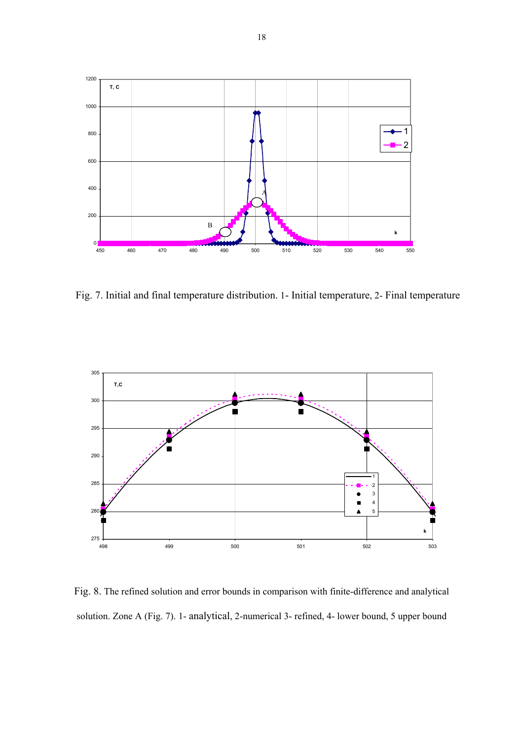

Fig. 7. Initial and final temperature distribution. 1- Initial temperature, 2- Final temperature



Fig. 8. The refined solution and error bounds in comparison with finite-difference and analytical solution. Zone А (Fig. 7). 1- analytical, 2-numerical 3- refined, 4- lower bound, 5 upper bound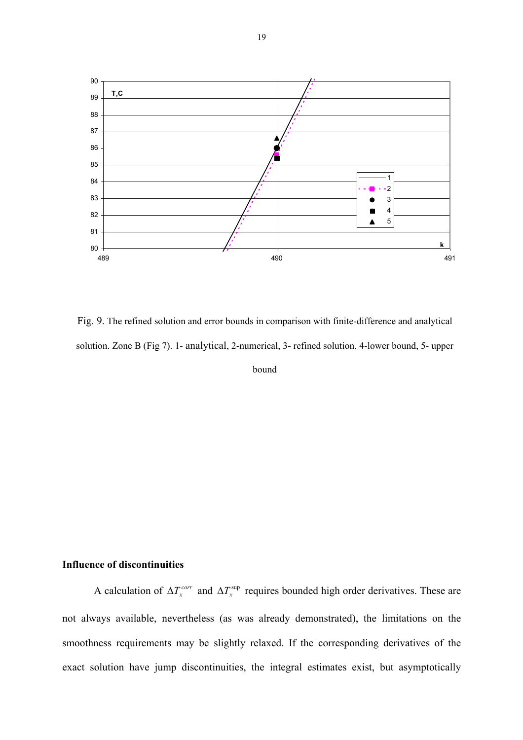

Fig. 9. The refined solution and error bounds in comparison with finite-difference and analytical solution. Zone B (Fig 7). 1- analytical, 2-numerical, 3- refined solution, 4-lower bound, 5- upper bound

## **Influence of discontinuities**

A calculation of  $\Delta T_x^{corr}$  and  $\Delta T_x^{sup}$  requires bounded high order derivatives. These are not always available, nevertheless (as was already demonstrated), the limitations on the smoothness requirements may be slightly relaxed. If the corresponding derivatives of the exact solution have jump discontinuities, the integral estimates exist, but asymptotically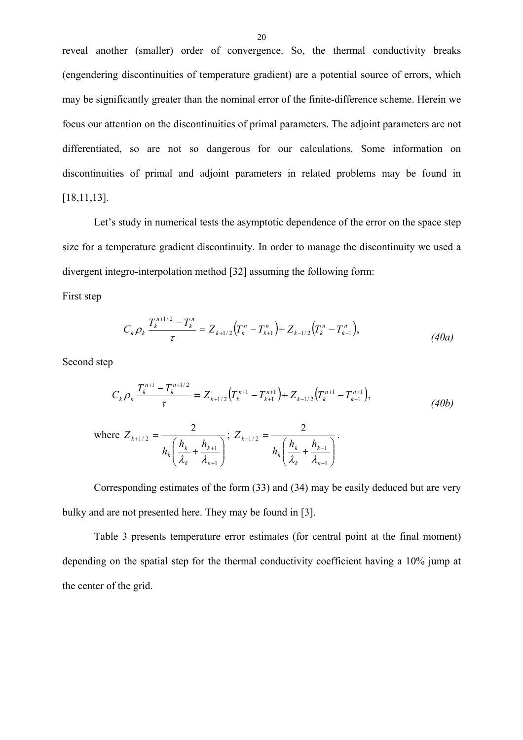reveal another (smaller) order of convergence. So, the thermal conductivity breaks (engendering discontinuities of temperature gradient) are a potential source of errors, which may be significantly greater than the nominal error of the finite-difference scheme. Herein we focus our attention on the discontinuities of primal parameters. The adjoint parameters are not differentiated, so are not so dangerous for our calculations. Some information on discontinuities of primal and adjoint parameters in related problems may be found in [18,11,13].

Let's study in numerical tests the asymptotic dependence of the error on the space step size for a temperature gradient discontinuity. In order to manage the discontinuity we used a divergent integro-interpolation method [32] assuming the following form:

First step

$$
C_{k}\rho_{k}\frac{T_{k}^{n+1/2}-T_{k}^{n}}{\tau}=Z_{k+1/2}\left(T_{k}^{n}-T_{k+1}^{n}\right)+Z_{k-1/2}\left(T_{k}^{n}-T_{k-1}^{n}\right),\tag{40a}
$$

Second step

$$
C_k \rho_k \frac{T_k^{n+1} - T_k^{n+1/2}}{\tau} = Z_{k+1/2} (T_k^{n+1} - T_{k+1}^{n+1}) + Z_{k-1/2} (T_k^{n+1} - T_{k-1}^{n+1}),
$$
\n(40b)

where 
$$
Z_{k+1/2} = \frac{2}{h_k \left(\frac{h_k}{\lambda_k} + \frac{h_{k+1}}{\lambda_{k+1}}\right)}
$$
;  $Z_{k-1/2} = \frac{2}{h_k \left(\frac{h_k}{\lambda_k} + \frac{h_{k-1}}{\lambda_{k-1}}\right)}$ .

Corresponding estimates of the form (33) and (34) may be easily deduced but are very bulky and are not presented here. They may be found in [3].

Table 3 presents temperature error estimates (for central point at the final moment) depending on the spatial step for the thermal conductivity coefficient having a 10% jump at the center of the grid.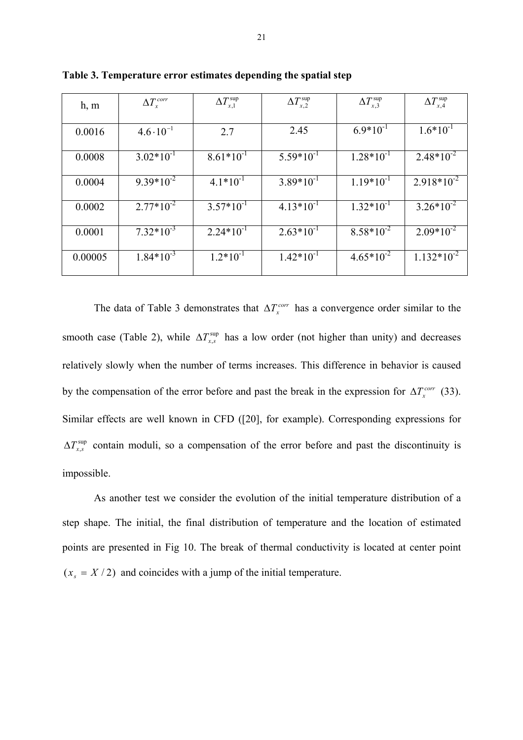| h, m    | $\Delta T_x^{corr}$ | $\Delta T_{x,1}^{\text{sup}}$ | $\Delta T_{x,2}^{\text{sup}}$ | $\Delta T_{x,3}^{\text{sup}}$ | $\Delta T_{x.4}^{\rm sup}$ |
|---------|---------------------|-------------------------------|-------------------------------|-------------------------------|----------------------------|
| 0.0016  | $4.6 \cdot 10^{-1}$ | 2.7                           | 2.45                          | $6.9*10^{-1}$                 | $1.6*10^{-1}$              |
| 0.0008  | $3.02*10^{-1}$      | $8.61*10^{-1}$                | $5.59*10^{-1}$                | $1.28*10^{-1}$                | $2.48*10^{-2}$             |
| 0.0004  | $9.39*10^{-2}$      | $4.1*10^{-1}$                 | $3.89*10^{-1}$                | $1.19*10^{-1}$                | $2.918*10^{-2}$            |
| 0.0002  | $2.77*10^{-2}$      | $3.57*10^{-1}$                | $4.13*10^{-1}$                | $1.32*10^{-1}$                | $3.26*10^{-2}$             |
| 0.0001  | $7.32*10^{-3}$      | $2.24*10^{-1}$                | $2.63*10^{-1}$                | $8.58*10^{-2}$                | $2.09*10^{-2}$             |
| 0.00005 | $1.84*10^{-3}$      | $1.2*10^{-1}$                 | $1.42*10^{-1}$                | $4.65*10^{-2}$                | $1.132*10^{-2}$            |

**Table 3. Temperature error estimates depending the spatial step** 

The data of Table 3 demonstrates that  $\Delta T_x^{corr}$  has a convergence order similar to the smooth case (Table 2), while  $\Delta T_{x,s}^{\text{sup}}$  has a low order (not higher than unity) and decreases relatively slowly when the number of terms increases. This difference in behavior is caused by the compensation of the error before and past the break in the expression for  $\Delta T_x^{corr}$  (33). Similar effects are well known in CFD ([20], for example). Corresponding expressions for ∆ $T_{x,s}^{\text{sup}}$  contain moduli, so a compensation of the error before and past the discontinuity is impossible.

As another test we consider the evolution of the initial temperature distribution of a step shape. The initial, the final distribution of temperature and the location of estimated points are presented in Fig 10. The break of thermal conductivity is located at center point  $(x<sub>s</sub> = X/2)$  and coincides with a jump of the initial temperature.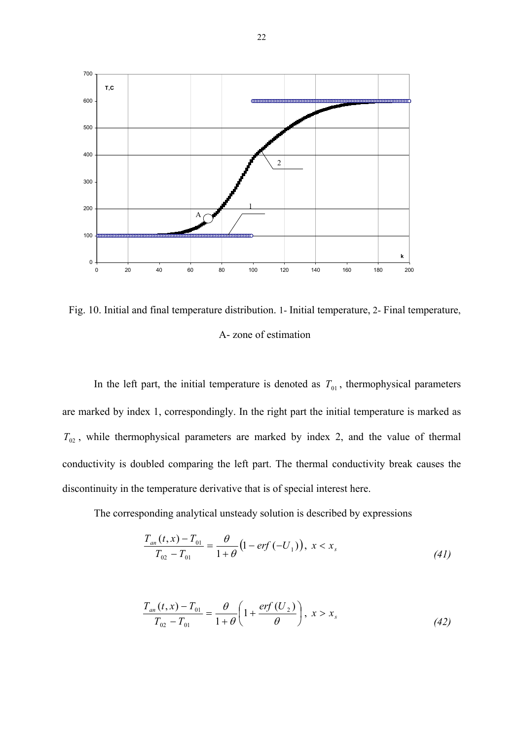

Fig. 10. Initial and final temperature distribution. 1- Initial temperature, 2- Final temperature, А- zone of estimation

In the left part, the initial temperature is denoted as  $T_{01}$ , thermophysical parameters are marked by index 1, correspondingly. In the right part the initial temperature is marked as  $T_{02}$ , while thermophysical parameters are marked by index 2, and the value of thermal conductivity is doubled comparing the left part. The thermal conductivity break causes the discontinuity in the temperature derivative that is of special interest here.

The corresponding analytical unsteady solution is described by expressions

$$
\frac{T_{an}(t, x) - T_{01}}{T_{02} - T_{01}} = \frac{\theta}{1 + \theta} \left( 1 - erf(-U_1) \right), \ x < x_s \tag{41}
$$

$$
\frac{T_{an}(t, x) - T_{01}}{T_{02} - T_{01}} = \frac{\theta}{1 + \theta} \left( 1 + \frac{\text{erf}(U_2)}{\theta} \right), \ x > x_s \tag{42}
$$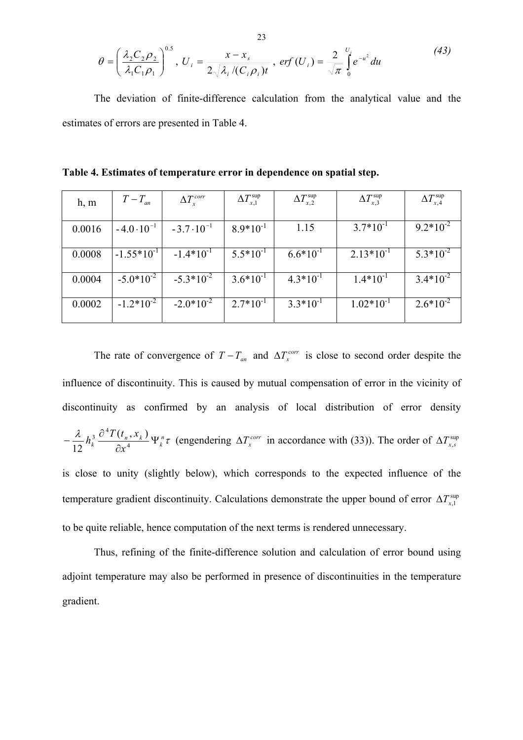$$
\theta = \left(\frac{\lambda_2 C_2 \rho_2}{\lambda_1 C_1 \rho_1}\right)^{0.5}, \ U_i = \frac{x - x_s}{2\sqrt{\lambda_i/(C_i \rho_i)t}}, \ erf (U_i) = \frac{2}{\sqrt{\pi}} \int_0^{U_i} e^{-u^2} du \tag{43}
$$

The deviation of finite-difference calculation from the analytical value and the estimates of errors are presented in Table 4.

| h, m   | $T-T_{an}$           | $\Delta T_x^{corr}$  | $\Delta T_{x,1}^{\rm sup}$ | $\Delta T_{x,2}^{\text{sup}}$ | $\Delta T_{x,3}^{\text{sup}}$ | $\Delta T_{x,4}^{\text{sup}}$ |
|--------|----------------------|----------------------|----------------------------|-------------------------------|-------------------------------|-------------------------------|
| 0.0016 | $-4.0 \cdot 10^{-1}$ | $-3.7 \cdot 10^{-1}$ | $8.9*10^{-1}$              | 1.15                          | $3.7*10^{-1}$                 | $9.2*10^{-2}$                 |
| 0.0008 | $-1.55*10^{-1}$      | $-1.4*10^{-1}$       | $5.5*10^{-1}$              | $6.6*10^{-1}$                 | $2.13*10^{-1}$                | $5.3*10^{-2}$                 |
| 0.0004 | $-5.0*10^{-2}$       | $-5.3*10^{-2}$       | $3.6*10^{-1}$              | $4.3*10^{-1}$                 | $1.4*10^{-1}$                 | $3.4*10^{-2}$                 |
| 0.0002 | $-1.2*10^{-2}$       | $-2.0*10^{-2}$       | $2.7*10^{-1}$              | $3.3*10^{-1}$                 | $1.02*10^{-1}$                | $2.6*10^{-2}$                 |

**Table 4. Estimates of temperature error in dependence on spatial step.** 

The rate of convergence of  $T - T_{an}$  and  $\Delta T_x^{corr}$  is close to second order despite the influence of discontinuity. This is caused by mutual compensation of error in the vicinity of discontinuity as confirmed by an analysis of local distribution of error density  $\frac{\lambda}{\mu_{h}^{3}} \frac{\partial^{4} T(t_{n},x_{k})}{\partial x_{n}} \Psi_{h}^{n} \tau$ *k n k k x*  $h_k^3 \frac{\partial^4 T(t_n, x_k)}{\partial x_k} \Psi$  $-\frac{\lambda}{12}h_k^3 \frac{\partial^4 T(t_n, x_k)}{\partial x^4} \Psi_k^n \tau$  (engendering  $\Delta T_x^{corr}$  in accordance with (33)). The order of  $\Delta T_{x,s}^{sup}$ is close to unity (slightly below), which corresponds to the expected influence of the temperature gradient discontinuity. Calculations demonstrate the upper bound of error  $\Delta T_{x,1}^{\text{sup}}$ to be quite reliable, hence computation of the next terms is rendered unnecessary.

Thus, refining of the finite-difference solution and calculation of error bound using adjoint temperature may also be performed in presence of discontinuities in the temperature gradient.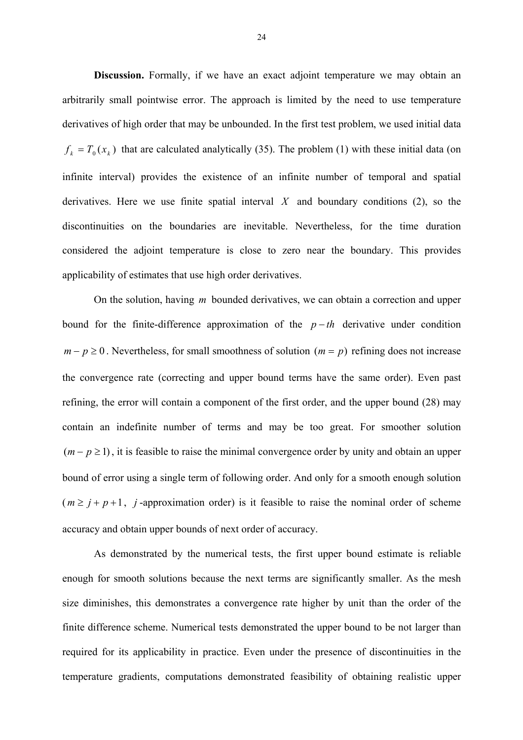**Discussion.** Formally, if we have an exact adjoint temperature we may obtain an arbitrarily small pointwise error. The approach is limited by the need to use temperature derivatives of high order that may be unbounded. In the first test problem, we used initial data  $f_k = T_0(x_k)$  that are calculated analytically (35). The problem (1) with these initial data (on infinite interval) provides the existence of an infinite number of temporal and spatial derivatives. Here we use finite spatial interval  $X$  and boundary conditions  $(2)$ , so the discontinuities on the boundaries are inevitable. Nevertheless, for the time duration considered the adjoint temperature is close to zero near the boundary. This provides applicability of estimates that use high order derivatives.

On the solution, having *m* bounded derivatives, we can obtain a correction and upper bound for the finite-difference approximation of the  $p - th$  derivative under condition  $m - p \ge 0$ . Nevertheless, for small smoothness of solution ( $m = p$ ) refining does not increase the convergence rate (correcting and upper bound terms have the same order). Even past refining, the error will contain a component of the first order, and the upper bound (28) may contain an indefinite number of terms and may be too great. For smoother solution  $(m - p \ge 1)$ , it is feasible to raise the minimal convergence order by unity and obtain an upper bound of error using a single term of following order. And only for a smooth enough solution  $(m \ge j + p + 1, j$ -approximation order) is it feasible to raise the nominal order of scheme accuracy and obtain upper bounds of next order of accuracy.

As demonstrated by the numerical tests, the first upper bound estimate is reliable enough for smooth solutions because the next terms are significantly smaller. As the mesh size diminishes, this demonstrates a convergence rate higher by unit than the order of the finite difference scheme. Numerical tests demonstrated the upper bound to be not larger than required for its applicability in practice. Even under the presence of discontinuities in the temperature gradients, computations demonstrated feasibility of obtaining realistic upper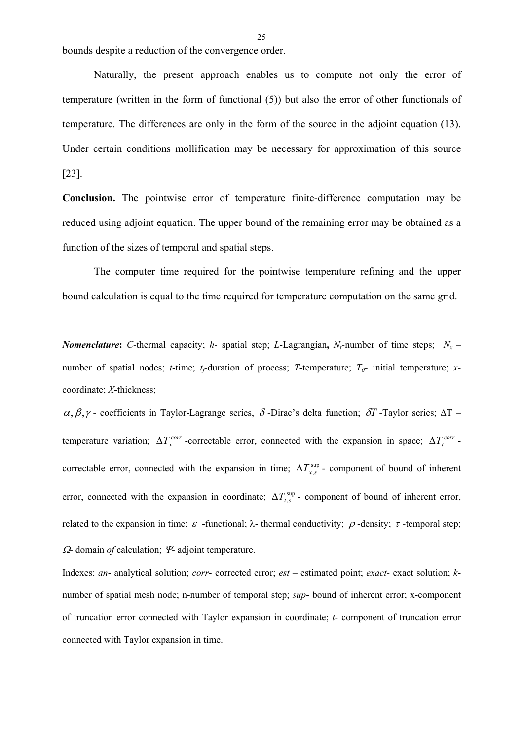bounds despite a reduction of the convergence order.

Naturally, the present approach enables us to compute not only the error of temperature (written in the form of functional (5)) but also the error of other functionals of temperature. The differences are only in the form of the source in the adjoint equation (13). Under certain conditions mollification may be necessary for approximation of this source [23].

**Conclusion.** The pointwise error of temperature finite-difference computation may be reduced using adjoint equation. The upper bound of the remaining error may be obtained as a function of the sizes of temporal and spatial steps.

The computer time required for the pointwise temperature refining and the upper bound calculation is equal to the time required for temperature computation on the same grid.

*Nomenclature*: *C*-thermal capacity; *h*- spatial step; *L*-Lagrangian, *N<sub>c</sub>*-number of time steps;  $N_x$  – number of spatial nodes; *t*-time; *t<sub>f</sub>*-duration of process; *T*-temperature; *T*<sub>0</sub>- initial temperature; *x*coordinate; *X*-thickness;

<sup>α</sup>, β,<sup>γ</sup> *-* coefficients in Taylor-Lagrange series, <sup>δ</sup> *-*Dirac's delta function; δ*T -*Taylor series; ∆T – temperature variation;  $\Delta T_x^{corr}$  -correctable error, connected with the expansion in space;  $\Delta T_t^{corr}$  correctable error, connected with the expansion in time;  $\Delta T_{x,s}^{\text{sup}}$  - component of bound of inherent error, connected with the expansion in coordinate;  $\Delta T_{t,s}^{\text{sup}}$  - component of bound of inherent error, related to the expansion in time;  $\varepsilon$  -functional; λ- thermal conductivity;  $\rho$ -density; τ-temporal step; <sup>Ω</sup>*-* domain *of* calculation; <sup>Ψ</sup>*-* adjoint temperature.

Indexes: *an*- analytical solution; *corr*- corrected error; *est –* estimated point; *exact-* exact solution; *k*number of spatial mesh node; n-number of temporal step; *sup*- bound of inherent error; x-component of truncation error connected with Taylor expansion in coordinate; *t-* component of truncation error connected with Taylor expansion in time.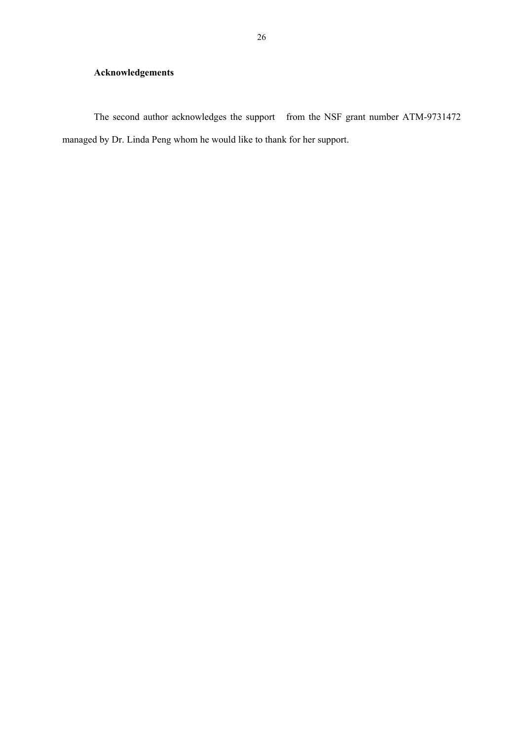## **Acknowledgements**

The second author acknowledges the support from the NSF grant number ATM-9731472 managed by Dr. Linda Peng whom he would like to thank for her support.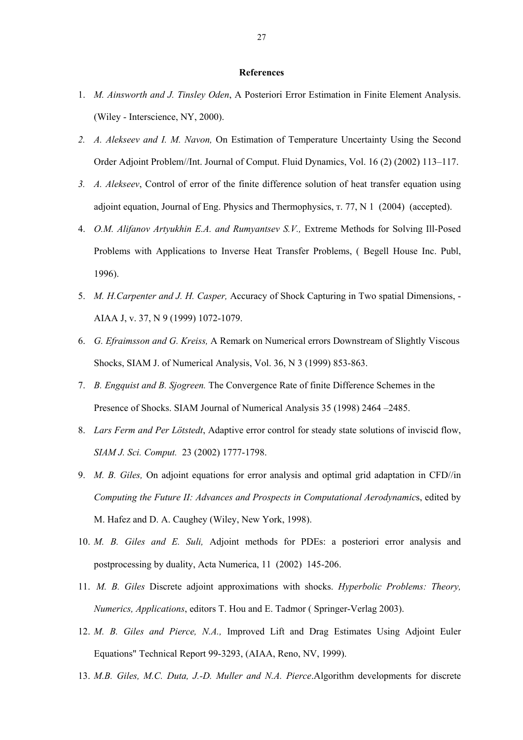#### **References**

- 1. *M. Ainsworth and J. Tinsley Oden*, A Posteriori Error Estimation in Finite Element Analysis. (Wiley - Interscience, NY, 2000).
- *2. A. Alekseev and I. M. Navon,* On Estimation of Temperature Uncertainty Using the Second Order Adjoint Problem//Int. Journal of Comput. Fluid Dynamics, Vol. 16 (2) (2002) 113–117.
- *3. A. Alekseev*, Control of error of the finite difference solution of heat transfer equation using adjoint equation, Journal of Eng. Physics and Thermophysics, т. 77, N 1 (2004) (accepted).
- 4. *O.M. Alifanov Artyukhin E.A. and Rumyantsev S.V.,* Extreme Methods for Solving Ill-Posed Problems with Applications to Inverse Heat Transfer Problems, ( Begell House Inc. Publ, 1996).
- 5. *M. H.Carpenter and J. H. Casper,* Accuracy of Shock Capturing in Two spatial Dimensions, AIAA J, v. 37, N 9 (1999) 1072-1079.
- 6. *G. Efraimsson and G. Kreiss,* A Remark on Numerical errors Downstream of Slightly Viscous Shocks, SIAM J. of Numerical Analysis, Vol. 36, N 3 (1999) 853-863.
- 7. *B. Engquist and B. Sjogreen.* The Convergence Rate of finite Difference Schemes in the Presence of Shocks. SIAM Journal of Numerical Analysis 35 (1998) 2464 –2485.
- 8. *Lars Ferm and Per Lötstedt*, Adaptive error control for steady state solutions of inviscid flow, *SIAM J. Sci. Comput.* 23 (2002) 1777-1798.
- 9. *M. B. Giles,* On adjoint equations for error analysis and optimal grid adaptation in CFD//in *Computing the Future II: Advances and Prospects in Computational Aerodynamic*s, edited by M. Hafez and D. A. Caughey (Wiley, New York, 1998).
- 10. *M. B. Giles and E. Suli,* Adjoint methods for PDEs: a posteriori error analysis and postprocessing by duality, Acta Numerica, 11 (2002) 145-206.
- 11. *M. B. Giles* Discrete adjoint approximations with shocks. *Hyperbolic Problems: Theory, Numerics, Applications*, editors T. Hou and E. Tadmor ( Springer-Verlag 2003).
- 12. *M. B. Giles and Pierce, N.A.,* Improved Lift and Drag Estimates Using Adjoint Euler Equations" Technical Report 99-3293, (AIAA, Reno, NV, 1999).
- 13. *M.B. Giles, M.C. Duta, J.-D. Muller and N.A. Pierce*.Algorithm developments for discrete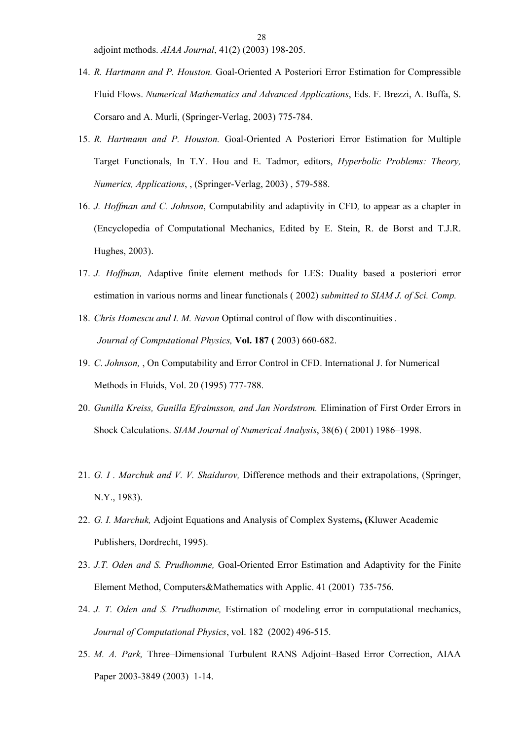adjoint methods. *AIAA Journal*, 41(2) (2003) 198-205.

- 14. *R. Hartmann and P. Houston.* Goal-Oriented A Posteriori Error Estimation for Compressible Fluid Flows. *Numerical Mathematics and Advanced Applications*, Eds. F. Brezzi, A. Buffa, S. Corsaro and A. Murli, (Springer-Verlag, 2003) 775-784.
- 15. *R. Hartmann and P. Houston.* Goal-Oriented A Posteriori Error Estimation for Multiple Target Functionals, In T.Y. Hou and E. Tadmor, editors, *Hyperbolic Problems: Theory, Numerics, Applications*, , (Springer-Verlag, 2003) , 579-588.
- 16. *J. Hoffman and C. Johnson*, Computability and adaptivity in CFD*,* to appear as a chapter in (Encyclopedia of Computational Mechanics, Edited by E. Stein, R. de Borst and T.J.R. Hughes, 2003).
- 17. *J. Hoffman,* Adaptive finite element methods for LES: Duality based a posteriori error estimation in various norms and linear functionals ( 2002) *submitted to SIAM J. of Sci. Comp.*
- 18. *Chris Homescu and I. M. Navon* Optimal control of flow with discontinuities *. Journal of Computational Physics,* **Vol. 187 (** 2003) 660-682.
- 19. *C*. *Johnson,* , On Computability and Error Control in CFD. International J. for Numerical Methods in Fluids, Vol. 20 (1995) 777-788.
- 20. *Gunilla Kreiss, Gunilla Efraimsson, and Jan Nordstrom.* Elimination of First Order Errors in Shock Calculations. *SIAM Journal of Numerical Analysis*, 38(6) ( 2001) 1986–1998.
- 21. *G. I . Marchuk and V. V. Shaidurov,* Difference methods and their extrapolations, (Springer, N.Y., 1983).
- 22. *G. I. Marchuk,* Adjoint Equations and Analysis of Complex Systems**, (**Kluwer Academic Publishers, Dordrecht, 1995).
- 23. *J.T. Oden and S. Prudhomme,* Goal-Oriented Error Estimation and Adaptivity for the Finite Element Method, Computers&Mathematics with Applic. 41 (2001) 735-756.
- 24. *J. T. Oden and S. Prudhomme,* Estimation of modeling error in computational mechanics, *Journal of Computational Physics*, vol. 182 (2002) 496-515.
- 25. *M. A. Park,* Three–Dimensional Turbulent RANS Adjoint–Based Error Correction, AIAA Paper 2003-3849 (2003) 1-14.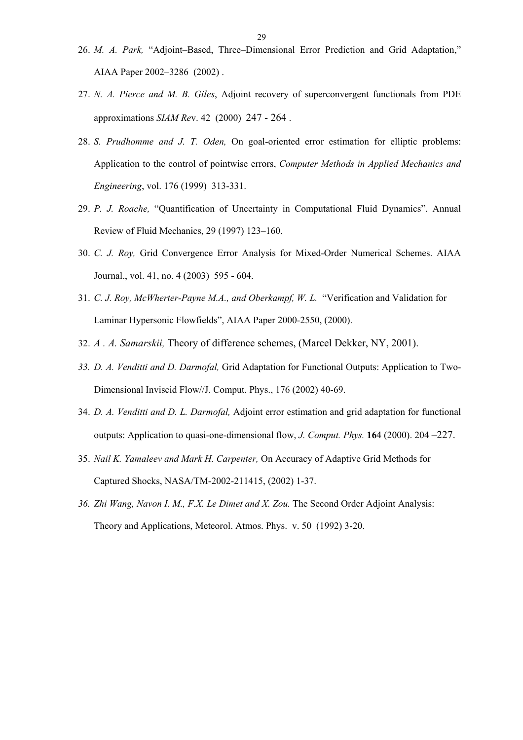- 26. *M. A. Park,* "Adjoint–Based, Three–Dimensional Error Prediction and Grid Adaptation," AIAA Paper 2002–3286 (2002) .
- 27. *N. A. Pierce and M. B. Giles*, Adjoint recovery of superconvergent functionals from PDE approximations *SIAM Re*v. 42 (2000) 247 - 264 .
- 28. *S. Prudhomme and J. T. Oden,* On goal-oriented error estimation for elliptic problems: Application to the control of pointwise errors, *Computer Methods in Applied Mechanics and Engineering*, vol. 176 (1999) 313-331.
- 29. *P. J. Roache,* "Quantification of Uncertainty in Computational Fluid Dynamics". Annual Review of Fluid Mechanics, 29 (1997) 123–160.
- 30. *C. J. Roy,* Grid Convergence Error Analysis for Mixed-Order Numerical Schemes. AIAA Journal., vol. 41, no. 4 (2003) 595 - 604.
- 31. *C. J. Roy, McWherter-Payne M.A., and Oberkampf, W. L.* "Verification and Validation for Laminar Hypersonic Flowfields", AIAA Paper 2000-2550, (2000).
- 32. *A . A. Samarskii,* Theory of difference schemes, (Marcel Dekker, NY, 2001).
- *33. D. A. Venditti and D. Darmofal,* Grid Adaptation for Functional Outputs: Application to Two-Dimensional Inviscid Flow//J. Comput. Phys., 176 (2002) 40-69.
- 34. *D. A. Venditti and D. L. Darmofal,* Adjoint error estimation and grid adaptation for functional outputs: Application to quasi-one-dimensional flow, *J. Comput. Phys.* **16**4 (2000). 204 *–*227.
- 35. *Nail K. Yamaleev and Mark H. Carpenter,* On Accuracy of Adaptive Grid Methods for Captured Shocks, NASA/TM-2002-211415, (2002) 1-37.
- *36. Zhi Wang, Navon I. M., F.X. Le Dimet and X. Zou.* The Second Order Adjoint Analysis: Theory and Applications, Meteorol. Atmos. Phys. v. 50 (1992) 3-20.